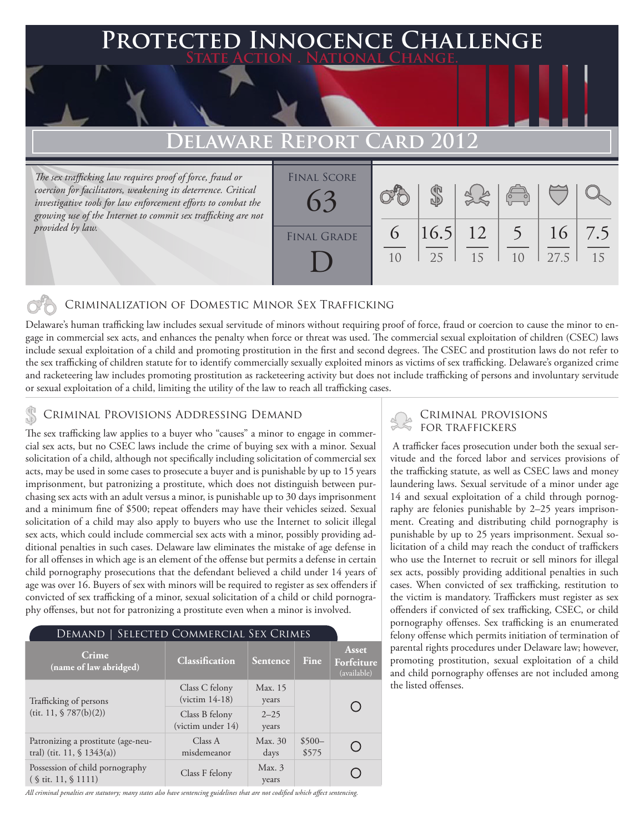### 'ed Innocence Challenge **State Action . National Change. Delaware Report Card 2012** *The sex trafficking law requires proof of force, fraud or coercion for facilitators, weakening its deterrence. Critical investigative tools for law enforcement efforts to combat the growing use of the Internet to commit sex trafficking are not provided by law.* 6 \$ 16.5 12 5 16 7.5 Final Score FINAL GRADE 63

 $1<sub>0</sub>$ 

25

## Criminalization of Domestic Minor Sex Trafficking

Delaware's human trafficking law includes sexual servitude of minors without requiring proof of force, fraud or coercion to cause the minor to engage in commercial sex acts, and enhances the penalty when force or threat was used. The commercial sexual exploitation of children (CSEC) laws include sexual exploitation of a child and promoting prostitution in the first and second degrees. The CSEC and prostitution laws do not refer to the sex trafficking of children statute for to identify commercially sexually exploited minors as victims of sex trafficking. Delaware's organized crime and racketeering law includes promoting prostitution as racketeering activity but does not include trafficking of persons and involuntary servitude or sexual exploitation of a child, limiting the utility of the law to reach all trafficking cases.

D

## CRIMINAL PROVISIONS ADDRESSING DEMAND

The sex trafficking law applies to a buyer who "causes" a minor to engage in commercial sex acts, but no CSEC laws include the crime of buying sex with a minor. Sexual solicitation of a child, although not specifically including solicitation of commercial sex acts, may be used in some cases to prosecute a buyer and is punishable by up to 15 years imprisonment, but patronizing a prostitute, which does not distinguish between purchasing sex acts with an adult versus a minor, is punishable up to 30 days imprisonment and a minimum fine of \$500; repeat offenders may have their vehicles seized. Sexual solicitation of a child may also apply to buyers who use the Internet to solicit illegal sex acts, which could include commercial sex acts with a minor, possibly providing additional penalties in such cases. Delaware law eliminates the mistake of age defense in for all offenses in which age is an element of the offense but permits a defense in certain child pornography prosecutions that the defendant believed a child under 14 years of age was over 16. Buyers of sex with minors will be required to register as sex offenders if convicted of sex trafficking of a minor, sexual solicitation of a child or child pornography offenses, but not for patronizing a prostitute even when a minor is involved.

| SELECTED COMMERCIAL SEX CRIMES<br>Demand                                     |                                     |                   |                  |                                           |
|------------------------------------------------------------------------------|-------------------------------------|-------------------|------------------|-------------------------------------------|
| Crime<br>(name of law abridged)                                              | Classification                      | Sentence          | Fine             | <b>Asset</b><br>Forfeiture<br>(available) |
| Trafficking of persons<br>(tit. 11, § 787(b)(2))                             | Class C felony<br>$(victim 14-18)$  | Max. 15<br>years  |                  |                                           |
|                                                                              | Class B felony<br>(victim under 14) | $2 - 25$<br>years |                  |                                           |
| Patronizing a prostitute (age-neu-<br>tral) (tit. 11, $\frac{1}{9}$ 1343(a)) | Class A<br>misdemeanor              | Max. 30<br>days   | $$500-$<br>\$575 |                                           |
| Possession of child pornography<br>$(S$ tit. 11, $S$ 1111)                   | Class F felony                      | Max.3<br>years    |                  |                                           |

*All criminal penalties are statutory; many states also have sentencing guidelines that are not codified which affect sentencing.* 

# Criminal provisions

15

 $1<sub>0</sub>$ 

27.5

15

 A trafficker faces prosecution under both the sexual servitude and the forced labor and services provisions of the trafficking statute, as well as CSEC laws and money laundering laws. Sexual servitude of a minor under age 14 and sexual exploitation of a child through pornography are felonies punishable by 2–25 years imprisonment. Creating and distributing child pornography is punishable by up to 25 years imprisonment. Sexual solicitation of a child may reach the conduct of traffickers who use the Internet to recruit or sell minors for illegal sex acts, possibly providing additional penalties in such cases. When convicted of sex trafficking, restitution to the victim is mandatory. Traffickers must register as sex offenders if convicted of sex trafficking, CSEC, or child pornography offenses. Sex trafficking is an enumerated felony offense which permits initiation of termination of parental rights procedures under Delaware law; however, promoting prostitution, sexual exploitation of a child and child pornography offenses are not included among the listed offenses.